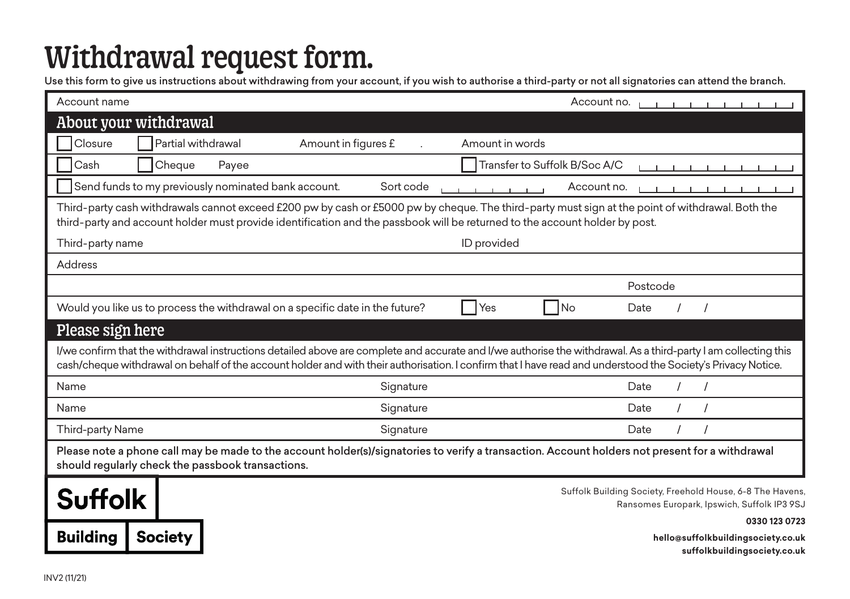## Withdrawal request form.

Use this form to give us instructions about withdrawing from your account, if you wish to authorise a third-party or not all signatories can attend the branch.

**suffolkbuildingsociety.co.uk**